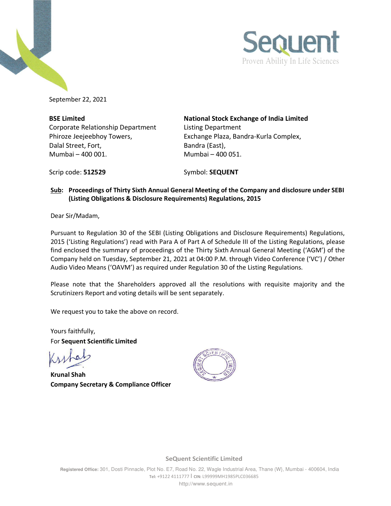



September 22, 2021

Corporate Relationship Department Listing Department Dalal Street, Fort, East, Bandra (East), Mumbai – 400 001. Mumbai – 400 051.

**BSE Limited National Stock Exchange of India Limited**  Phiroze Jeejeebhoy Towers, Exchange Plaza, Bandra-Kurla Complex,

Scrip code: **512529** Symbol: **SEQUENT** 

## **Sub: Proceedings of Thirty Sixth Annual General Meeting of the Company and disclosure under SEBI (Listing Obligations & Disclosure Requirements) Regulations, 2015**

Dear Sir/Madam,

Pursuant to Regulation 30 of the SEBI (Listing Obligations and Disclosure Requirements) Regulations, 2015 ('Listing Regulations') read with Para A of Part A of Schedule III of the Listing Regulations, please find enclosed the summary of proceedings of the Thirty Sixth Annual General Meeting ('AGM') of the Company held on Tuesday, September 21, 2021 at 04:00 P.M. through Video Conference ('VC') / Other Audio Video Means ('OAVM') as required under Regulation 30 of the Listing Regulations.

Please note that the Shareholders approved all the resolutions with requisite majority and the Scrutinizers Report and voting details will be sent separately.

We request you to take the above on record.

Yours faithfully, For **Sequent Scientific Limited** 

**Krunal Shah Company Secretary & Compliance Officer** 



**SeQuent Scientific Limited**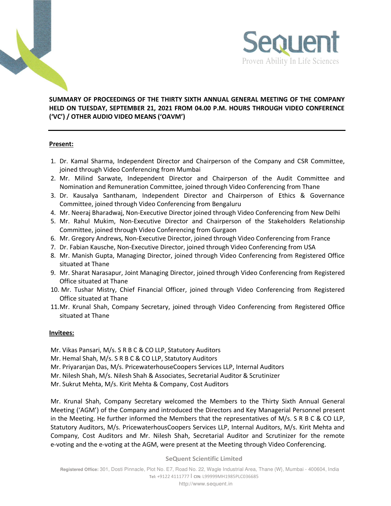



## **SUMMARY OF PROCEEDINGS OF THE THIRTY SIXTH ANNUAL GENERAL MEETING OF THE COMPANY HELD ON TUESDAY, SEPTEMBER 21, 2021 FROM 04.00 P.M. HOURS THROUGH VIDEO CONFERENCE ('VC') / OTHER AUDIO VIDEO MEANS ('OAVM')**

## **Present:**

- 1. Dr. Kamal Sharma, Independent Director and Chairperson of the Company and CSR Committee, joined through Video Conferencing from Mumbai
- 2. Mr. Milind Sarwate, Independent Director and Chairperson of the Audit Committee and Nomination and Remuneration Committee, joined through Video Conferencing from Thane
- 3. Dr. Kausalya Santhanam, Independent Director and Chairperson of Ethics & Governance Committee, joined through Video Conferencing from Bengaluru
- 4. Mr. Neeraj Bharadwaj, Non-Executive Director joined through Video Conferencing from New Delhi
- 5. Mr. Rahul Mukim, Non-Executive Director and Chairperson of the Stakeholders Relationship Committee, joined through Video Conferencing from Gurgaon
- 6. Mr. Gregory Andrews, Non-Executive Director, joined through Video Conferencing from France
- 7. Dr. Fabian Kausche, Non-Executive Director, joined through Video Conferencing from USA
- 8. Mr. Manish Gupta, Managing Director, joined through Video Conferencing from Registered Office situated at Thane
- 9. Mr. Sharat Narasapur, Joint Managing Director, joined through Video Conferencing from Registered Office situated at Thane
- 10. Mr. Tushar Mistry, Chief Financial Officer, joined through Video Conferencing from Registered Office situated at Thane
- 11.Mr. Krunal Shah, Company Secretary, joined through Video Conferencing from Registered Office situated at Thane

## **Invitees:**

Mr. Vikas Pansari, M/s. S R B C & CO LLP, Statutory Auditors

Mr. Hemal Shah, M/s. S R B C & CO LLP, Statutory Auditors

- Mr. Priyaranjan Das, M/s. PricewaterhouseCoopers Services LLP, Internal Auditors
- Mr. Nilesh Shah, M/s. Nilesh Shah & Associates, Secretarial Auditor & Scrutinizer

Mr. Sukrut Mehta, M/s. Kirit Mehta & Company, Cost Auditors

Mr. Krunal Shah, Company Secretary welcomed the Members to the Thirty Sixth Annual General Meeting ('AGM') of the Company and introduced the Directors and Key Managerial Personnel present in the Meeting. He further informed the Members that the representatives of M/s. S R B C & CO LLP, Statutory Auditors, M/s. PricewaterhousCoopers Services LLP, Internal Auditors, M/s. Kirit Mehta and Company, Cost Auditors and Mr. Nilesh Shah, Secretarial Auditor and Scrutinizer for the remote e-voting and the e-voting at the AGM, were present at the Meeting through Video Conferencing.

**SeQuent Scientific Limited**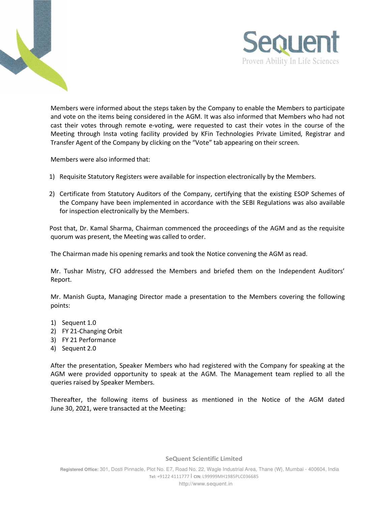



Members were informed about the steps taken by the Company to enable the Members to participate and vote on the items being considered in the AGM. It was also informed that Members who had not cast their votes through remote e-voting, were requested to cast their votes in the course of the Meeting through Insta voting facility provided by KFin Technologies Private Limited, Registrar and Transfer Agent of the Company by clicking on the "Vote" tab appearing on their screen.

Members were also informed that:

- 1) Requisite Statutory Registers were available for inspection electronically by the Members.
- 2) Certificate from Statutory Auditors of the Company, certifying that the existing ESOP Schemes of the Company have been implemented in accordance with the SEBI Regulations was also available for inspection electronically by the Members.

 Post that, Dr. Kamal Sharma, Chairman commenced the proceedings of the AGM and as the requisite quorum was present, the Meeting was called to order.

The Chairman made his opening remarks and took the Notice convening the AGM as read.

Mr. Tushar Mistry, CFO addressed the Members and briefed them on the Independent Auditors' Report.

Mr. Manish Gupta, Managing Director made a presentation to the Members covering the following points:

- 1) Sequent 1.0
- 2) FY 21-Changing Orbit
- 3) FY 21 Performance
- 4) Sequent 2.0

After the presentation, Speaker Members who had registered with the Company for speaking at the AGM were provided opportunity to speak at the AGM. The Management team replied to all the queries raised by Speaker Members.

Thereafter, the following items of business as mentioned in the Notice of the AGM dated June 30, 2021, were transacted at the Meeting:

**SeQuent Scientific Limited**